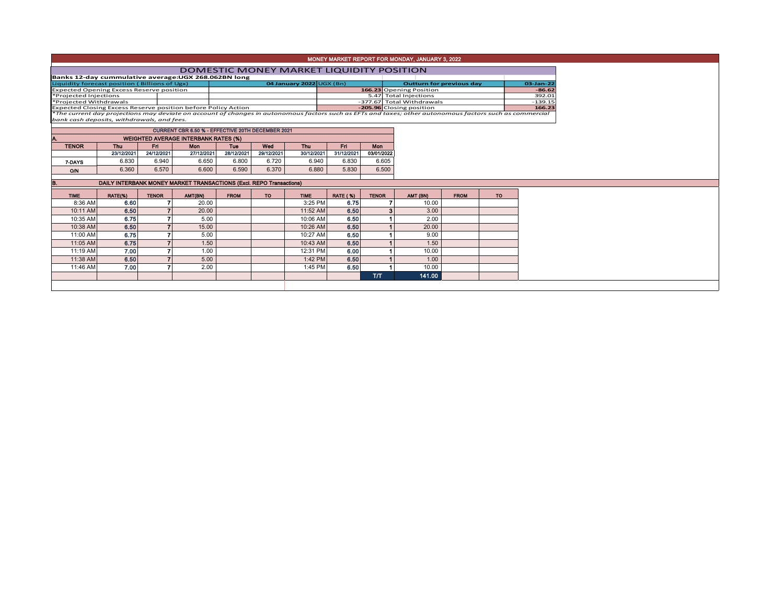| MONEY MARKET REPORT FOR MONDAY, JANUARY 3, 2022 |
|-------------------------------------------------|
|                                                 |

|                                                               | DOMESTIC MONEY MARKET LIQUIDITY POSITION                                                                                                                 |                                |  |                           |  |           |  |  |  |  |  |  |  |
|---------------------------------------------------------------|----------------------------------------------------------------------------------------------------------------------------------------------------------|--------------------------------|--|---------------------------|--|-----------|--|--|--|--|--|--|--|
| Banks 12-day cummulative average: UGX 268.062BN long          |                                                                                                                                                          |                                |  |                           |  |           |  |  |  |  |  |  |  |
| Liquidity forecast position (Billions of Ugx)                 |                                                                                                                                                          | 04 January 2022 $\cup$ GX (Bn) |  | Outturn for previous day  |  |           |  |  |  |  |  |  |  |
| <b>Expected Opening Excess Reserve position</b>               |                                                                                                                                                          |                                |  | 166.23 Opening Position   |  | $-86.62$  |  |  |  |  |  |  |  |
| *Projected Injections                                         |                                                                                                                                                          |                                |  | 5.47 Total Injections     |  | 392.01    |  |  |  |  |  |  |  |
| *Projected Withdrawals                                        |                                                                                                                                                          |                                |  | -377.67 Total Withdrawals |  | $-139.15$ |  |  |  |  |  |  |  |
| Expected Closing Excess Reserve position before Policy Action |                                                                                                                                                          |                                |  | -205.96 Closing position  |  | 166.23    |  |  |  |  |  |  |  |
|                                                               | *The current day projections may deviate on account of changes in autonomous factors such as EFTs and taxes; other autonomous factors such as commercial |                                |  |                           |  |           |  |  |  |  |  |  |  |

*bank cash deposits, withdrawals, and fees.*

| <b>CURRENT CBR 6.50 % - EFFECTIVE 20TH DECEMBER 2021</b> |                                             |            |            |            |            |            |            |            |  |  |  |  |  |
|----------------------------------------------------------|---------------------------------------------|------------|------------|------------|------------|------------|------------|------------|--|--|--|--|--|
| А.                                                       | <b>WEIGHTED AVERAGE INTERBANK RATES (%)</b> |            |            |            |            |            |            |            |  |  |  |  |  |
| <b>TENOR</b>                                             | Thu                                         | Fri        | <b>Mon</b> | <b>Tue</b> | Wed        | Thu        | Fri        | Mon        |  |  |  |  |  |
|                                                          | 23/12/2021                                  | 24/12/2021 | 27/12/2021 | 28/12/2021 | 29/12/2021 | 30/12/2021 | 31/12/2021 | 03/01/2022 |  |  |  |  |  |
| 7-DAYS                                                   | 6.830                                       | 6.940      | 6.650      | 6.800      | 6.720      | 6.940      | 6.830      | 6.605      |  |  |  |  |  |
| O/N                                                      | 6.360                                       | 6.570      | 6.600      | 6.590      | 6.370      | 6.880      | 5.830      | 6.500      |  |  |  |  |  |
|                                                          |                                             |            |            |            |            |            |            |            |  |  |  |  |  |

| B.          |         |              | DAILY INTERBANK MONEY MARKET TRANSACTIONS (Excl. REPO Transactions) |             |     |             |                 |              |          |             |           |
|-------------|---------|--------------|---------------------------------------------------------------------|-------------|-----|-------------|-----------------|--------------|----------|-------------|-----------|
| <b>TIME</b> | RATE(%) | <b>TENOR</b> | AMT(BN)                                                             | <b>FROM</b> | TO. | <b>TIME</b> | <b>RATE (%)</b> | <b>TENOR</b> | AMT (BN) | <b>FROM</b> | <b>TO</b> |
| 8:36 AM     | 6.60    |              | 20.00                                                               |             |     | 3:25 PM     | 6.75            |              | 10.00    |             |           |
| 10:11 AM    | 6.50    |              | 20.00                                                               |             |     | 11:52 AM    | 6.50            | 3            | 3.00     |             |           |
| 10:35 AM    | 6.75    |              | 5.00                                                                |             |     | 10:06 AM    | 6.50            |              | 2.00     |             |           |
| 10:38 AM    | 6.50    |              | 15.00                                                               |             |     | 10:26 AM    | 6,50            |              | 20.00    |             |           |
| 11:00 AM    | 6.75    |              | 5.00                                                                |             |     | 10:27 AM    | 6.50            |              | 9.00     |             |           |
| 11:05 AM    | 6.75    |              | 1.50                                                                |             |     | 10:43 AM    | 6.50            |              | 1.50     |             |           |
| 11:19 AM    | 7.00    |              | 1.00                                                                |             |     | 12:31 PM    | 6.00            |              | 10.00    |             |           |
| 11:38 AM    | 6.50    |              | 5.00                                                                |             |     | 1:42 PM     | 6.50            |              | 1.00     |             |           |
| 11:46 AM    | 7.00    |              | 2.00                                                                |             |     | 1:45 PM     | 6.50            |              | 10.00    |             |           |
|             |         |              |                                                                     |             |     |             |                 | T/T          | 141.00   |             |           |
|             |         |              |                                                                     |             |     |             |                 |              |          |             |           |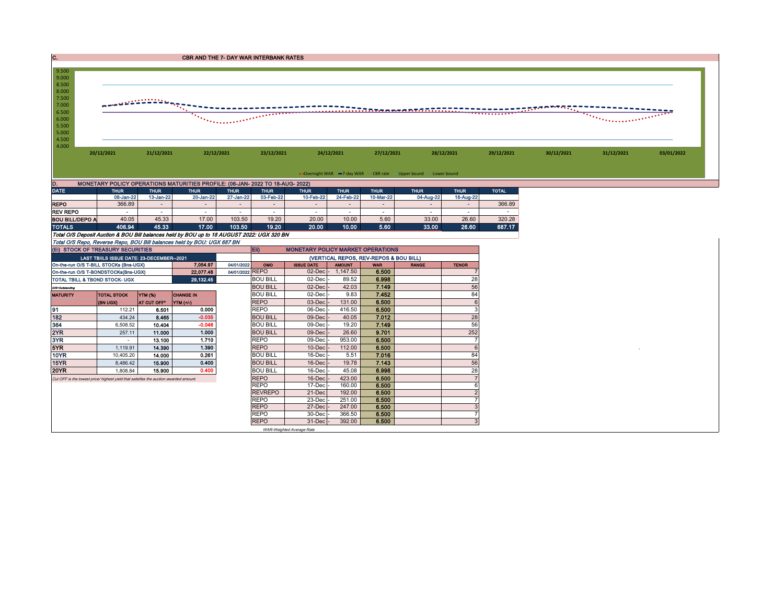| <b>CBR AND THE 7- DAY WAR INTERBANK RATES</b> |
|-----------------------------------------------|
|                                               |



m.

| $-$                    |           |           |           |           | .         | .         | .         |           | .         |           | $-$    |
|------------------------|-----------|-----------|-----------|-----------|-----------|-----------|-----------|-----------|-----------|-----------|--------|
|                        | 06-Jan-22 | 13-Jan-22 | 20-Jan-22 | 27-Jan-22 | 03-Feb-22 | 10-Feb-22 | 24-Feb-22 | 10-Mar-22 | 04-Aug-22 | 18-Aug-22 |        |
| <b>REPO</b>            | 366.89    |           |           |           |           |           |           |           |           |           | 366.89 |
| <b>REV REPO</b>        |           |           |           |           |           |           |           |           |           |           |        |
| <b>BOU BILL/DEPO A</b> | 40.05     | 45.33     | 17.00     | 103.50    | 19.20     | 20.00     | 10.00     | 5.60      | 33.00     | 26.60     | 320.28 |
| <b>TOTALS</b>          | 406.94    | 45.33     | 17.00     | 103.50    | 19.20     | 20.00     | 10.00     | 5.60      | 33.00     | 26.60     | 687.17 |

Total O/S Deposit Auction & BOU Bill balances held by BOU up to 18 AUGUST 2022: UGX 320 BN

| Total O/S Repo, Reverse Repo, BOU Bill balances held by BOU: UGX 687 BN |             |                                          |
|-------------------------------------------------------------------------|-------------|------------------------------------------|
| (EI) STOCK OF TREASURY SECURITIES                                       | <b>IEID</b> | <b>MONETARY POLICY MARKET OPERATIONS</b> |
|                                                                         |             |                                          |

| (EI) STOCK OF TREASURT SECONTIES                                                     |                                          |             |                  |                 | 1931<br><b>MONETANT FULIUT MANNET UFENATIONS</b> |                                        |               |            |              |              |  |  |  |
|--------------------------------------------------------------------------------------|------------------------------------------|-------------|------------------|-----------------|--------------------------------------------------|----------------------------------------|---------------|------------|--------------|--------------|--|--|--|
|                                                                                      | LAST TBIILS ISSUE DATE: 23-DECEMBER-2021 |             |                  |                 |                                                  | (VERTICAL REPOS, REV-REPOS & BOU BILL) |               |            |              |              |  |  |  |
| 7.054.97<br>On-the-run O/S T-BILL STOCKs (Bns-UGX)                                   |                                          |             |                  | 04/01/2022      | OMO                                              | <b>ISSUE DATE</b>                      | <b>AMOUNT</b> | <b>WAR</b> | <b>RANGE</b> | <b>TENOR</b> |  |  |  |
| On-the-run O/S T-BONDSTOCKs(Bns-UGX)                                                 |                                          |             | 22,077.48        | 04/01/2022 REPO |                                                  | $02$ -Dec $ -$                         | 1,147.50      | 6.500      |              |              |  |  |  |
| TOTAL TBILL & TBOND STOCK- UGX                                                       |                                          |             | 29,132.45        |                 | <b>BOU BILL</b>                                  | $02$ -Dec                              | 89.52         | 6.998      |              | 28           |  |  |  |
| O/S=Outstanding                                                                      |                                          |             |                  |                 | <b>BOU BILL</b>                                  | $02$ -Dec $-$                          | 42.03         | 7.149      |              | 56           |  |  |  |
| MATURITY                                                                             | <b>TOTAL STOCK</b>                       | YTM (%)     | <b>CHANGE IN</b> |                 | <b>BOU BILL</b>                                  | $02$ -Dec $-$                          | 9.83          | 7.452      |              | 84           |  |  |  |
|                                                                                      | (BN UGX)                                 | AT CUT OFF* | YTM (+/-)        |                 | <b>REPO</b>                                      | $03$ -Dec $-$                          | 131.00        | 6.500      |              |              |  |  |  |
| 91                                                                                   | 112.21                                   | 6.501       | 0.000            |                 | <b>REPO</b>                                      | 06-Dec                                 | 416.50        | 6.500      |              |              |  |  |  |
| 182                                                                                  | 434.24                                   | 8.465       | $-0.035$         |                 | <b>BOU BILL</b>                                  | $09$ -Dec                              | 40.05         | 7.012      |              | 28           |  |  |  |
| 364                                                                                  | 6,508.52                                 | 10.404      | $-0.046$         |                 | <b>BOU BILL</b>                                  | 09-Dec                                 | 19.20         | 7.149      |              | 56           |  |  |  |
| 2YR                                                                                  | 257.11                                   | 11.000      | 1.000            |                 | <b>BOU BILL</b>                                  | $09$ -Dec $\vert$ -                    | 26.60         | 9.701      |              | 252          |  |  |  |
| 3YR                                                                                  |                                          | 13.100      | 1.710            |                 | <b>REPO</b>                                      | $09$ -Dec $\cdot$                      | 953.00        | 6.500      |              |              |  |  |  |
| 5YR.                                                                                 | 1,119.91                                 | 14.390      | 1.390            |                 | <b>REPO</b>                                      | $10$ -Dec $-$                          | 112.00        | 6.500      |              |              |  |  |  |
| 10YR                                                                                 | 10,405.20                                | 14.000      | 0.261            |                 | <b>BOU BILL</b>                                  | 16-Decl                                | 5.51          | 7.016      |              | 84           |  |  |  |
| 15YR                                                                                 | 8,486.42                                 | 15.900      | 0.400            |                 | <b>BOU BILL</b>                                  | $16$ -Dec $-$                          | 19.78         | 7.143      |              | 56           |  |  |  |
| 20YR                                                                                 | 1.808.84                                 | 15.900      | 0.400            |                 | <b>BOU BILL</b>                                  | $16$ -Dec                              | 45.08         | 6.998      |              | 28           |  |  |  |
| Cut OFF is the lowest price/highest vield that satisfies the auction awarded amount. |                                          |             |                  |                 | <b>REPO</b>                                      | $16$ -Dec $\vert$ -                    | 423.00        | 6.500      |              |              |  |  |  |
|                                                                                      |                                          |             |                  |                 | <b>REPO</b>                                      | $17$ -Dec $\vert$ -                    | 160.00        | 6.500      |              |              |  |  |  |
|                                                                                      |                                          |             |                  |                 | <b>REVREPO</b>                                   | $21-Dec$                               | 192.00        | 6.500      |              |              |  |  |  |
|                                                                                      |                                          |             |                  |                 | <b>REPO</b>                                      | $23$ -Dec $\cdot$                      | 251.00        | 6.500      |              |              |  |  |  |
|                                                                                      |                                          |             |                  |                 | <b>REPO</b>                                      | $27$ -Dec $\cdot$                      | 247.00        | 6.500      |              |              |  |  |  |
|                                                                                      |                                          |             |                  |                 | <b>REPO</b>                                      | 30-Dec -                               | 366.50        | 6.500      |              |              |  |  |  |
|                                                                                      |                                          |             |                  |                 | <b>REPO</b>                                      | $31$ -Dec $-$                          | 392.00        | 6.500      |              |              |  |  |  |
|                                                                                      |                                          |             |                  |                 |                                                  | $1474.72.147 + 1644.44.4$              |               |            |              |              |  |  |  |

WAR-Weighted Average Rate